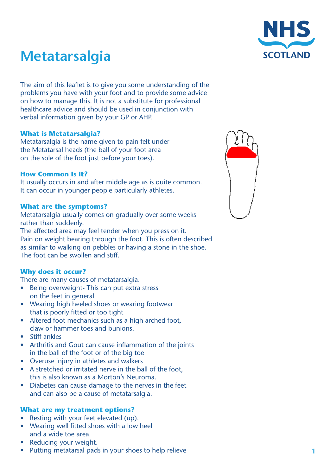

# **Metatarsalgia**

The aim of this leaflet is to give you some understanding of the problems you have with your foot and to provide some advice on how to manage this. It is not a substitute for professional healthcare advice and should be used in conjunction with verbal information given by your GP or AHP.

## **What is Metatarsalgia?**

Metatarsalgia is the name given to pain felt under the Metatarsal heads (the ball of your foot area on the sole of the foot just before your toes).

### **How Common Is It?**

It usually occurs in and after middle age as is quite common. It can occur in younger people particularly athletes.

## **What are the symptoms?**

Metatarsalgia usually comes on gradually over some weeks rather than suddenly. The affected area may feel tender when you press on it. Pain on weight bearing through the foot. This is often described as similar to walking on pebbles or having a stone in the shoe. The foot can be swollen and stiff.

## **Why does it occur?**

There are many causes of metatarsalgia:

- Being overweight- This can put extra stress on the feet in general
- Wearing high heeled shoes or wearing footwear that is poorly fitted or too tight
- Altered foot mechanics such as a high arched foot, claw or hammer toes and bunions.
- **Stiff ankles**
- Arthritis and Gout can cause inflammation of the joints in the ball of the foot or of the big toe
- • Overuse injury in athletes and walkers
- • A stretched or irritated nerve in the ball of the foot, this is also known as a Morton's Neuroma.
- Diabetes can cause damage to the nerves in the feet and can also be a cause of metatarsalgia.

### **What are my treatment options?**

- Resting with your feet elevated (up).
- Wearing well fitted shoes with a low heel and a wide toe area.
- **Reducing your weight.**
- Putting metatarsal pads in your shoes to help relieve